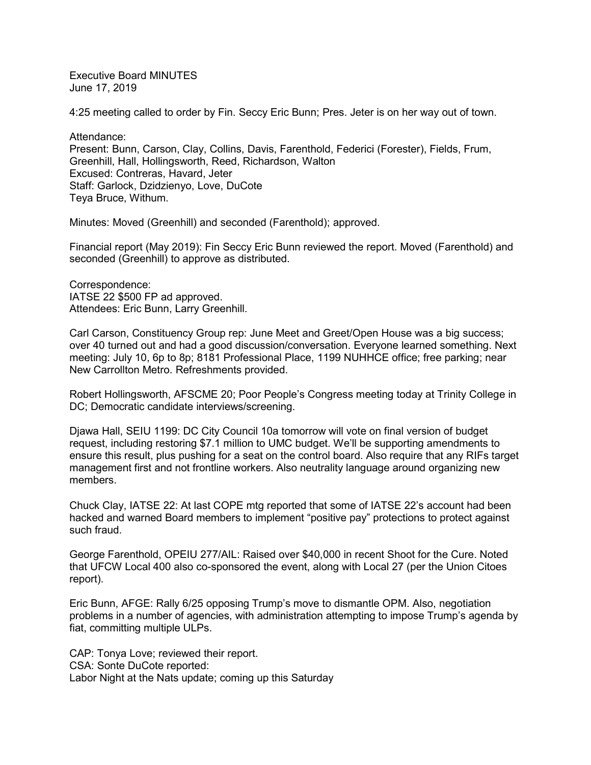Executive Board MINUTES June 17, 2019

4:25 meeting called to order by Fin. Seccy Eric Bunn; Pres. Jeter is on her way out of town.

Attendance: Present: Bunn, Carson, Clay, Collins, Davis, Farenthold, Federici (Forester), Fields, Frum, Greenhill, Hall, Hollingsworth, Reed, Richardson, Walton Excused: Contreras, Havard, Jeter Staff: Garlock, Dzidzienyo, Love, DuCote Teya Bruce, Withum.

Minutes: Moved (Greenhill) and seconded (Farenthold); approved.

Financial report (May 2019): Fin Seccy Eric Bunn reviewed the report. Moved (Farenthold) and seconded (Greenhill) to approve as distributed.

Correspondence: IATSE 22 \$500 FP ad approved. Attendees: Eric Bunn, Larry Greenhill.

Carl Carson, Constituency Group rep: June Meet and Greet/Open House was a big success; over 40 turned out and had a good discussion/conversation. Everyone learned something. Next meeting: July 10, 6p to 8p; 8181 Professional Place, 1199 NUHHCE office; free parking; near New Carrollton Metro. Refreshments provided.

Robert Hollingsworth, AFSCME 20; Poor People's Congress meeting today at Trinity College in DC; Democratic candidate interviews/screening.

Djawa Hall, SEIU 1199: DC City Council 10a tomorrow will vote on final version of budget request, including restoring \$7.1 million to UMC budget. We'll be supporting amendments to ensure this result, plus pushing for a seat on the control board. Also require that any RIFs target management first and not frontline workers. Also neutrality language around organizing new members.

Chuck Clay, IATSE 22: At last COPE mtg reported that some of IATSE 22's account had been hacked and warned Board members to implement "positive pay" protections to protect against such fraud.

George Farenthold, OPEIU 277/AIL: Raised over \$40,000 in recent Shoot for the Cure. Noted that UFCW Local 400 also co-sponsored the event, along with Local 27 (per the Union Citoes report).

Eric Bunn, AFGE: Rally 6/25 opposing Trump's move to dismantle OPM. Also, negotiation problems in a number of agencies, with administration attempting to impose Trump's agenda by fiat, committing multiple ULPs.

CAP: Tonya Love; reviewed their report. CSA: Sonte DuCote reported: Labor Night at the Nats update; coming up this Saturday